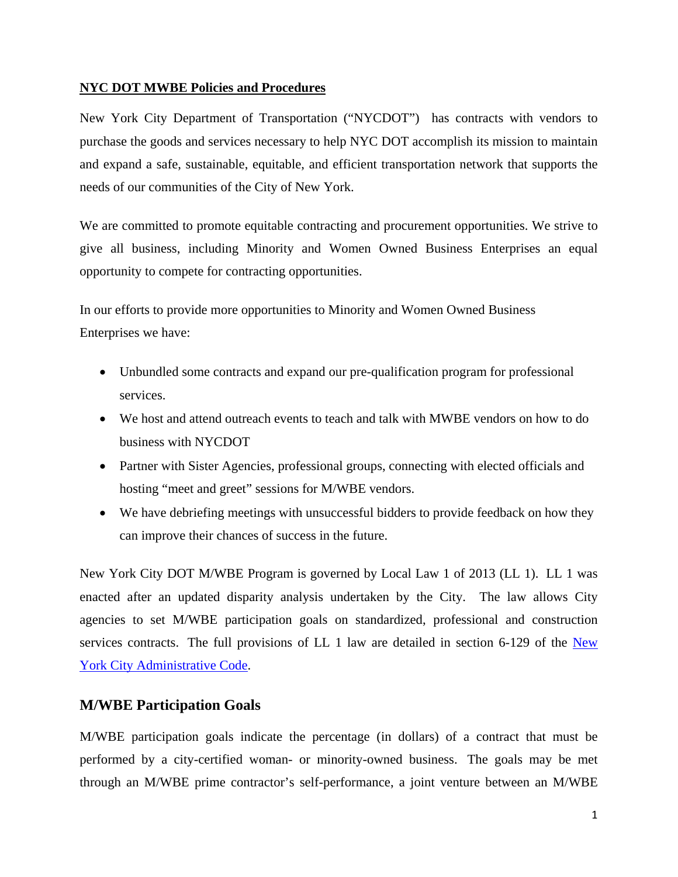### **NYC DOT MWBE Policies and Procedures**

New York City Department of Transportation ("NYCDOT") has contracts with vendors to purchase the goods and services necessary to help NYC DOT accomplish its mission to maintain and expand a safe, sustainable, equitable, and efficient transportation network that supports the needs of our communities of the City of New York.

We are committed to promote equitable contracting and procurement opportunities. We strive to give all business, including Minority and Women Owned Business Enterprises an equal opportunity to compete for contracting opportunities.

In our efforts to provide more opportunities to Minority and Women Owned Business Enterprises we have:

- Unbundled some contracts and expand our pre-qualification program for professional services.
- We host and attend outreach events to teach and talk with MWBE vendors on how to do business with NYCDOT
- Partner with Sister Agencies, professional groups, connecting with elected officials and hosting "meet and greet" sessions for M/WBE vendors.
- We have debriefing meetings with unsuccessful bidders to provide feedback on how they can improve their chances of success in the future.

New York City DOT M/WBE Program is governed by Local Law 1 of 2013 (LL 1). LL 1 was enacted after an updated disparity analysis undertaken by the City. The law allows City agencies to set M/WBE participation goals on standardized, professional and construction services contracts. The full provisions of LL 1 law are detailed in section 6-129 of the New York City Administrative Code.

# **M/WBE Participation Goals**

M/WBE participation goals indicate the percentage (in dollars) of a contract that must be performed by a city-certified woman- or minority-owned business. The goals may be met through an M/WBE prime contractor's self-performance, a joint venture between an M/WBE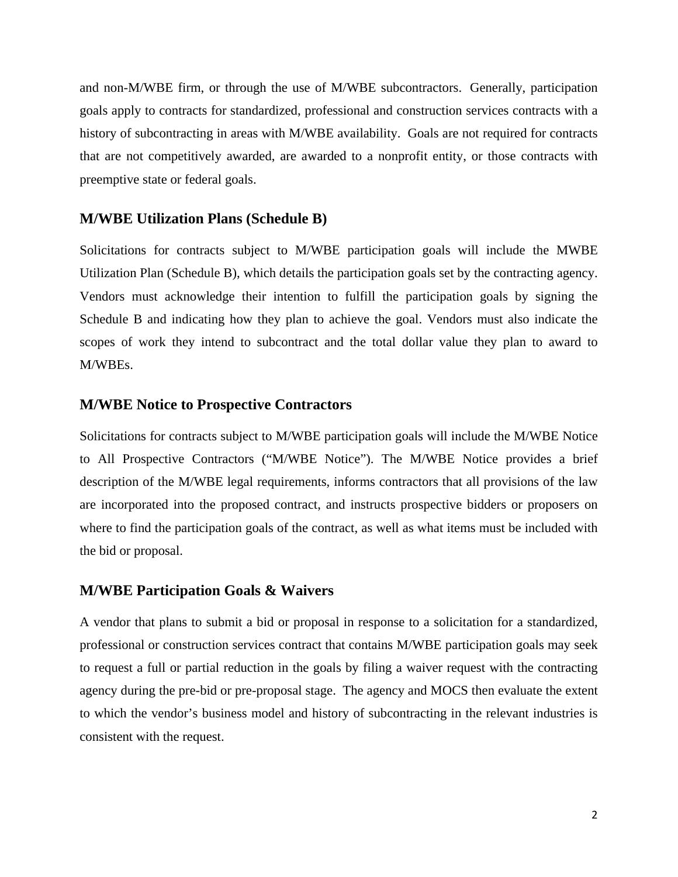and non-M/WBE firm, or through the use of M/WBE subcontractors. Generally, participation goals apply to contracts for standardized, professional and construction services contracts with a history of subcontracting in areas with M/WBE availability. Goals are not required for contracts that are not competitively awarded, are awarded to a nonprofit entity, or those contracts with preemptive state or federal goals.

#### **M/WBE Utilization Plans (Schedule B)**

Solicitations for contracts subject to M/WBE participation goals will include the MWBE Utilization Plan (Schedule B), which details the participation goals set by the contracting agency. Vendors must acknowledge their intention to fulfill the participation goals by signing the Schedule B and indicating how they plan to achieve the goal. Vendors must also indicate the scopes of work they intend to subcontract and the total dollar value they plan to award to M/WBEs.

#### **M/WBE Notice to Prospective Contractors**

Solicitations for contracts subject to M/WBE participation goals will include the M/WBE Notice to All Prospective Contractors ("M/WBE Notice"). The M/WBE Notice provides a brief description of the M/WBE legal requirements, informs contractors that all provisions of the law are incorporated into the proposed contract, and instructs prospective bidders or proposers on where to find the participation goals of the contract, as well as what items must be included with the bid or proposal.

#### **M/WBE Participation Goals & Waivers**

A vendor that plans to submit a bid or proposal in response to a solicitation for a standardized, professional or construction services contract that contains M/WBE participation goals may seek to request a full or partial reduction in the goals by filing a waiver request with the contracting agency during the pre-bid or pre-proposal stage. The agency and MOCS then evaluate the extent to which the vendor's business model and history of subcontracting in the relevant industries is consistent with the request.